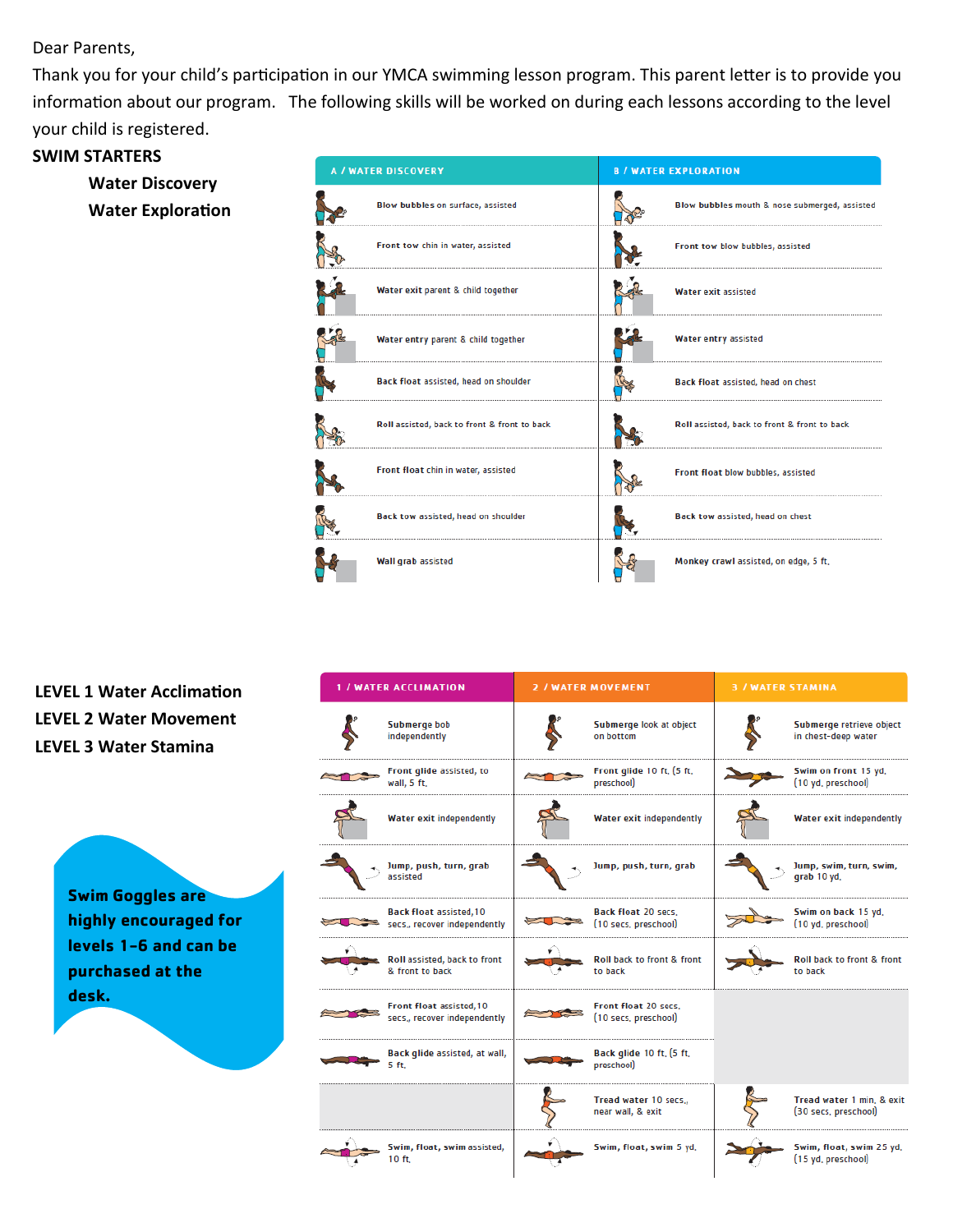Dear Parents,

Thank you for your child's participation in our YMCA swimming lesson program. This parent letter is to provide you information about our program. The following skills will be worked on during each lessons according to the level your child is registered.

## **SWIM STARTERS**

**Water Discovery Water Exploration**



**LEVEL 1 Water Acclimation LEVEL 2 Water Movement LEVEL 3 Water Stamina**

> **Swim Goggles are highly encouraged for levels 1-6 and can be purchased at the desk.**

| <b>1 / WATER ACCLIMATION</b>                                   | <b>2 / WATER MOVEMENT</b>                          | <b>3 / WATER STAMINA</b>                          |
|----------------------------------------------------------------|----------------------------------------------------|---------------------------------------------------|
| Submerge bob<br>independently                                  | Submerge look at object<br>on bottom               | Submerge retrieve object<br>in chest-deep water   |
| Front glide assisted, to<br>wall, 5 ft.                        | Front glide 10 ft, (5 ft,<br>preschool)            | Swim on front 15 yd,<br>(10 yd. preschool)        |
| <b>Water exit independently</b>                                | <b>Water exit independently</b>                    | Water exit independently                          |
| Jump, push, turn, grab<br>assisted                             | Jump, push, turn, grab                             | Jump, swim, turn, swim,<br>grab 10 yd,            |
| <b>Back float assisted, 10</b><br>secs., recover independently | <b>Back float 20 secs.</b><br>(10 secs, preschool) | Swim on back 15 yd,<br>(10 yd, preschool)         |
| Roll assisted, back to front<br>& front to back                | Roll back to front & front<br>to back              | Roll back to front & front<br>to back             |
| Front float assisted, 10<br>secs,, recover independently       | Front float 20 secs,<br>(10 secs, preschool)       |                                                   |
| Back glide assisted, at wall,<br>5 ft.                         | Back glide 10 ft, (5 ft,<br>preschool)             |                                                   |
|                                                                | Tread water 10 secs.,<br>near wall, & exit         | Tread water 1 min, & exit<br>(30 secs, preschool) |
| Swim, float, swim assisted,<br>10 ft.                          | Swim, float, swim 5 yd,                            | Swim, float, swim 25 yd,<br>(15 yd, preschool)    |